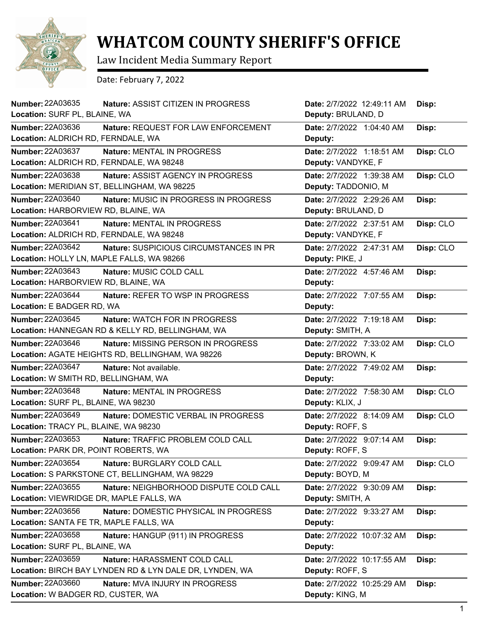

## **WHATCOM COUNTY SHERIFF'S OFFICE**

Law Incident Media Summary Report

Date: February 7, 2022

| <b>Number: 22A03635</b>                   | <b>Nature: ASSIST CITIZEN IN PROGRESS</b>               | Date: 2/7/2022 12:49:11 AM | Disp:     |
|-------------------------------------------|---------------------------------------------------------|----------------------------|-----------|
| Location: SURF PL, BLAINE, WA             |                                                         | Deputy: BRULAND, D         |           |
| <b>Number: 22A03636</b>                   | Nature: REQUEST FOR LAW ENFORCEMENT                     | Date: 2/7/2022 1:04:40 AM  | Disp:     |
| Location: ALDRICH RD, FERNDALE, WA        |                                                         | Deputy:                    |           |
| Number: 22A03637                          | Nature: MENTAL IN PROGRESS                              | Date: 2/7/2022 1:18:51 AM  | Disp: CLO |
| Location: ALDRICH RD, FERNDALE, WA 98248  |                                                         | Deputy: VANDYKE, F         |           |
| Number: 22A03638                          | Nature: ASSIST AGENCY IN PROGRESS                       | Date: 2/7/2022 1:39:38 AM  | Disp: CLO |
|                                           | Location: MERIDIAN ST, BELLINGHAM, WA 98225             | Deputy: TADDONIO, M        |           |
| <b>Number: 22A03640</b>                   | Nature: MUSIC IN PROGRESS IN PROGRESS                   | Date: 2/7/2022 2:29:26 AM  | Disp:     |
| Location: HARBORVIEW RD, BLAINE, WA       |                                                         | Deputy: BRULAND, D         |           |
| Number: 22A03641                          | Nature: MENTAL IN PROGRESS                              | Date: 2/7/2022 2:37:51 AM  | Disp: CLO |
| Location: ALDRICH RD, FERNDALE, WA 98248  |                                                         | Deputy: VANDYKE, F         |           |
| <b>Number: 22A03642</b>                   | <b>Nature: SUSPICIOUS CIRCUMSTANCES IN PR</b>           | Date: 2/7/2022 2:47:31 AM  | Disp: CLO |
| Location: HOLLY LN, MAPLE FALLS, WA 98266 |                                                         | Deputy: PIKE, J            |           |
| Number: 22A03643                          | Nature: MUSIC COLD CALL                                 | Date: 2/7/2022 4:57:46 AM  | Disp:     |
| Location: HARBORVIEW RD, BLAINE, WA       |                                                         | Deputy:                    |           |
| Number: 22A03644                          | Nature: REFER TO WSP IN PROGRESS                        | Date: 2/7/2022 7:07:55 AM  | Disp:     |
| Location: E BADGER RD, WA                 |                                                         | Deputy:                    |           |
| Number: 22A03645                          | Nature: WATCH FOR IN PROGRESS                           | Date: 2/7/2022 7:19:18 AM  | Disp:     |
|                                           | Location: HANNEGAN RD & KELLY RD, BELLINGHAM, WA        | Deputy: SMITH, A           |           |
| Number: 22A03646                          | Nature: MISSING PERSON IN PROGRESS                      | Date: 2/7/2022 7:33:02 AM  | Disp: CLO |
|                                           | Location: AGATE HEIGHTS RD, BELLINGHAM, WA 98226        | Deputy: BROWN, K           |           |
| <b>Number: 22A03647</b>                   | Nature: Not available.                                  | Date: 2/7/2022 7:49:02 AM  | Disp:     |
| Location: W SMITH RD, BELLINGHAM, WA      |                                                         | Deputy:                    |           |
| Number: 22A03648                          | Nature: MENTAL IN PROGRESS                              | Date: 2/7/2022 7:58:30 AM  | Disp: CLO |
| Location: SURF PL, BLAINE, WA 98230       |                                                         | Deputy: KLIX, J            |           |
| <b>Number: 22A03649</b>                   | Nature: DOMESTIC VERBAL IN PROGRESS                     | Date: 2/7/2022 8:14:09 AM  | Disp: CLO |
| Location: TRACY PL, BLAINE, WA 98230      |                                                         | Deputy: ROFF, S            |           |
| <b>Number: 22A03653</b>                   | Nature: TRAFFIC PROBLEM COLD CALL                       | Date: 2/7/2022 9:07:14 AM  | Disp:     |
| Location: PARK DR, POINT ROBERTS, WA      |                                                         | Deputy: ROFF, S            |           |
| <b>Number: 22A03654</b>                   | Nature: BURGLARY COLD CALL                              | Date: 2/7/2022 9:09:47 AM  | Disp: CLO |
|                                           | Location: S PARKSTONE CT, BELLINGHAM, WA 98229          | Deputy: BOYD, M            |           |
| Number: 22A03655                          | Nature: NEIGHBORHOOD DISPUTE COLD CALL                  | Date: 2/7/2022 9:30:09 AM  | Disp:     |
| Location: VIEWRIDGE DR, MAPLE FALLS, WA   |                                                         | Deputy: SMITH, A           |           |
| Number: 22A03656                          | Nature: DOMESTIC PHYSICAL IN PROGRESS                   | Date: 2/7/2022 9:33:27 AM  | Disp:     |
| Location: SANTA FE TR, MAPLE FALLS, WA    |                                                         | Deputy:                    |           |
| Number: 22A03658                          | Nature: HANGUP (911) IN PROGRESS                        | Date: 2/7/2022 10:07:32 AM | Disp:     |
| Location: SURF PL, BLAINE, WA             |                                                         | Deputy:                    |           |
| Number: 22A03659                          | Nature: HARASSMENT COLD CALL                            | Date: 2/7/2022 10:17:55 AM | Disp:     |
|                                           | Location: BIRCH BAY LYNDEN RD & LYN DALE DR, LYNDEN, WA | Deputy: ROFF, S            |           |
| <b>Number: 22A03660</b>                   | <b>Nature: MVA INJURY IN PROGRESS</b>                   | Date: 2/7/2022 10:25:29 AM | Disp:     |
| Location: W BADGER RD, CUSTER, WA         |                                                         | Deputy: KING, M            |           |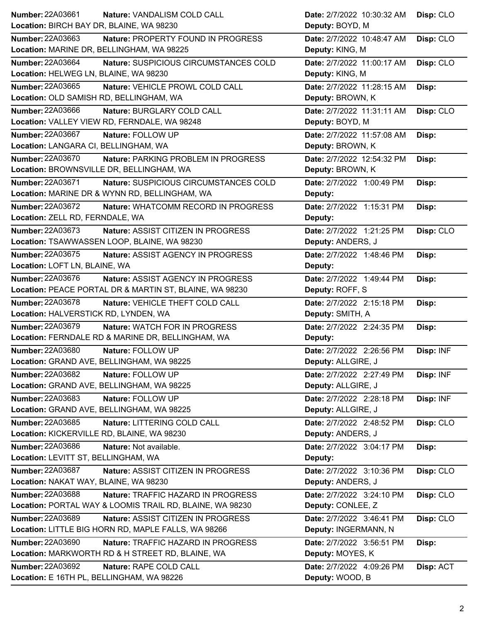| Number: 22A03661<br>Nature: VANDALISM COLD CALL                 | Date: 2/7/2022 10:30:32 AM<br>Disp: CLO |
|-----------------------------------------------------------------|-----------------------------------------|
| Location: BIRCH BAY DR, BLAINE, WA 98230                        | Deputy: BOYD, M                         |
| Number: 22A03663<br>Nature: PROPERTY FOUND IN PROGRESS          | Date: 2/7/2022 10:48:47 AM<br>Disp: CLO |
| Location: MARINE DR, BELLINGHAM, WA 98225                       | Deputy: KING, M                         |
| Number: 22A03664<br>Nature: SUSPICIOUS CIRCUMSTANCES COLD       | Date: 2/7/2022 11:00:17 AM<br>Disp: CLO |
| Location: HELWEG LN, BLAINE, WA 98230                           | Deputy: KING, M                         |
| Number: 22A03665<br>Nature: VEHICLE PROWL COLD CALL             | Date: 2/7/2022 11:28:15 AM<br>Disp:     |
| Location: OLD SAMISH RD, BELLINGHAM, WA                         | Deputy: BROWN, K                        |
| Number: 22A03666<br>Nature: BURGLARY COLD CALL                  | Date: 2/7/2022 11:31:11 AM<br>Disp: CLO |
| Location: VALLEY VIEW RD, FERNDALE, WA 98248                    | Deputy: BOYD, M                         |
| Number: 22A03667<br>Nature: FOLLOW UP                           | Date: 2/7/2022 11:57:08 AM<br>Disp:     |
| Location: LANGARA CI, BELLINGHAM, WA                            | Deputy: BROWN, K                        |
| <b>Number: 22A03670</b><br>Nature: PARKING PROBLEM IN PROGRESS  | Date: 2/7/2022 12:54:32 PM<br>Disp:     |
| Location: BROWNSVILLE DR, BELLINGHAM, WA                        | Deputy: BROWN, K                        |
| Number: 22A03671<br>Nature: SUSPICIOUS CIRCUMSTANCES COLD       | Date: 2/7/2022 1:00:49 PM<br>Disp:      |
| Location: MARINE DR & WYNN RD, BELLINGHAM, WA                   | Deputy:                                 |
| <b>Number: 22A03672</b><br>Nature: WHATCOMM RECORD IN PROGRESS  | Disp:<br>Date: 2/7/2022 1:15:31 PM      |
| Location: ZELL RD, FERNDALE, WA                                 | Deputy:                                 |
| Number: 22A03673<br>Nature: ASSIST CITIZEN IN PROGRESS          | Disp: CLO<br>Date: 2/7/2022 1:21:25 PM  |
| Location: TSAWWASSEN LOOP, BLAINE, WA 98230                     | Deputy: ANDERS, J                       |
| Number: 22A03675<br>Nature: ASSIST AGENCY IN PROGRESS           | Date: 2/7/2022 1:48:46 PM<br>Disp:      |
| Location: LOFT LN, BLAINE, WA                                   | Deputy:                                 |
| Number: 22A03676<br>Nature: ASSIST AGENCY IN PROGRESS           | Date: 2/7/2022 1:49:44 PM<br>Disp:      |
| Location: PEACE PORTAL DR & MARTIN ST, BLAINE, WA 98230         | Deputy: ROFF, S                         |
| <b>Number: 22A03678</b><br>Nature: VEHICLE THEFT COLD CALL      | Date: 2/7/2022 2:15:18 PM<br>Disp:      |
| Location: HALVERSTICK RD, LYNDEN, WA                            | Deputy: SMITH, A                        |
| <b>Number: 22A03679</b><br><b>Nature: WATCH FOR IN PROGRESS</b> | Date: 2/7/2022 2:24:35 PM<br>Disp:      |
| Location: FERNDALE RD & MARINE DR, BELLINGHAM, WA               | Deputy:                                 |
| <b>Number: 22A03680</b><br>Nature: FOLLOW UP                    | Date: 2/7/2022 2:26:56 PM<br>Disp: INF  |
| Location: GRAND AVE, BELLINGHAM, WA 98225                       | Deputy: ALLGIRE, J                      |
| Number: 22A03682<br>Nature: FOLLOW UP                           | Date: 2/7/2022 2:27:49 PM<br>Disp: INF  |
| Location: GRAND AVE, BELLINGHAM, WA 98225                       | Deputy: ALLGIRE, J                      |
| Number: 22A03683<br>Nature: FOLLOW UP                           | Date: 2/7/2022 2:28:18 PM<br>Disp: INF  |
| Location: GRAND AVE, BELLINGHAM, WA 98225                       | Deputy: ALLGIRE, J                      |
| Number: 22A03685<br>Nature: LITTERING COLD CALL                 | Disp: CLO<br>Date: 2/7/2022 2:48:52 PM  |
| Location: KICKERVILLE RD, BLAINE, WA 98230                      | Deputy: ANDERS, J                       |
| <b>Number: 22A03686</b><br>Nature: Not available.               | Date: 2/7/2022 3:04:17 PM<br>Disp:      |
| Location: LEVITT ST, BELLINGHAM, WA                             | Deputy:                                 |
| Number: 22A03687<br>Nature: ASSIST CITIZEN IN PROGRESS          | Date: 2/7/2022 3:10:36 PM<br>Disp: CLO  |
| Location: NAKAT WAY, BLAINE, WA 98230                           | Deputy: ANDERS, J                       |
| <b>Number: 22A03688</b><br>Nature: TRAFFIC HAZARD IN PROGRESS   | Disp: CLO<br>Date: 2/7/2022 3:24:10 PM  |
| Location: PORTAL WAY & LOOMIS TRAIL RD, BLAINE, WA 98230        | Deputy: CONLEE, Z                       |
| Number: 22A03689<br>Nature: ASSIST CITIZEN IN PROGRESS          | Date: 2/7/2022 3:46:41 PM<br>Disp: CLO  |
| Location: LITTLE BIG HORN RD, MAPLE FALLS, WA 98266             | Deputy: INGERMANN, N                    |
| <b>Number: 22A03690</b><br>Nature: TRAFFIC HAZARD IN PROGRESS   | Date: 2/7/2022 3:56:51 PM<br>Disp:      |
| Location: MARKWORTH RD & H STREET RD, BLAINE, WA                | Deputy: MOYES, K                        |
| <b>Number: 22A03692</b><br>Nature: RAPE COLD CALL               | Date: 2/7/2022 4:09:26 PM<br>Disp: ACT  |
| Location: E 16TH PL, BELLINGHAM, WA 98226                       | Deputy: WOOD, B                         |
|                                                                 |                                         |